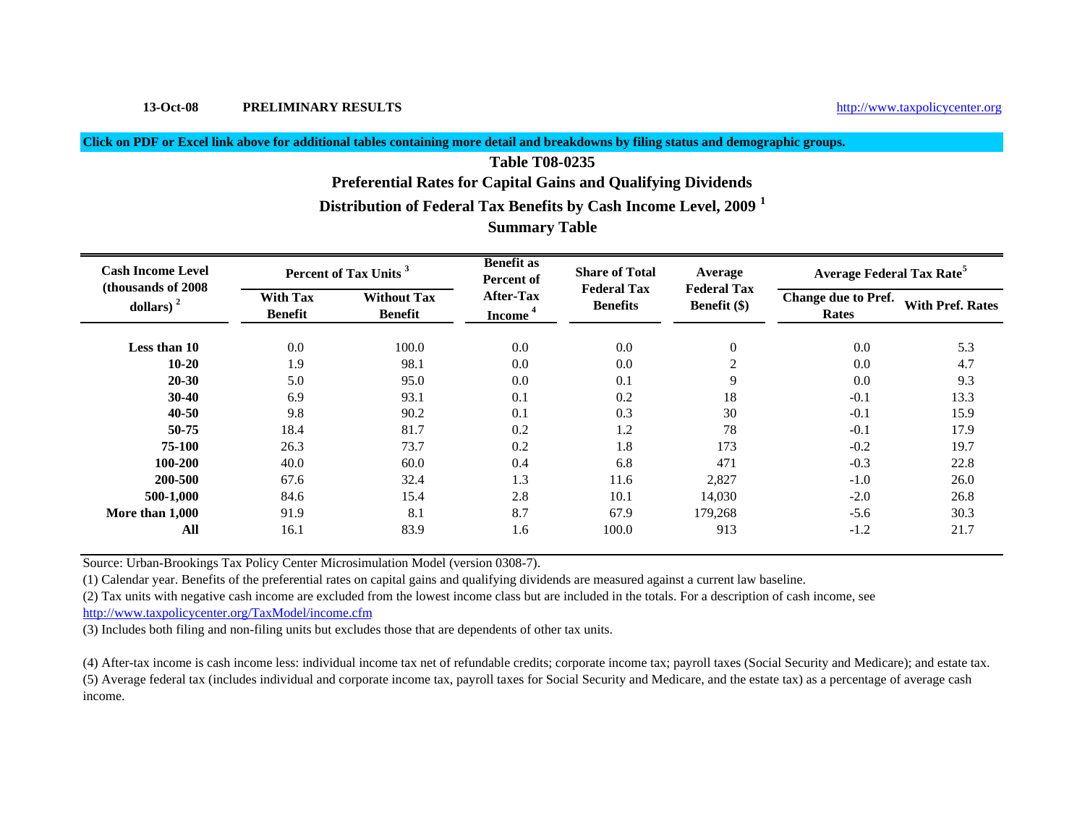# **13-Oct-08 PRELIMINARY RESULTS**

×

## **Click on PDF or Excel link above for additional tables containing more detail and breakdowns by filing status and demographic groups.**

# **Summary Table Table T08-0235Preferential Rates for Capital Gains and Qualifying Dividends Distribution of Federal Tax Benefits by Cash Income Level, 2009 <sup>1</sup>**

| <b>Cash Income Level</b><br>(thousands of 2008) |                                   | Percent of Tax Units <sup>3</sup>    | <b>Benefit as</b><br>Percent of         | <b>Share of Total</b><br><b>Federal Tax</b> | Average<br><b>Federal Tax</b> | Average Federal Tax Rate <sup>5</sup> |                         |  |
|-------------------------------------------------|-----------------------------------|--------------------------------------|-----------------------------------------|---------------------------------------------|-------------------------------|---------------------------------------|-------------------------|--|
| dollars) $2$                                    | <b>With Tax</b><br><b>Benefit</b> | <b>Without Tax</b><br><b>Benefit</b> | <b>After-Tax</b><br>Income <sup>4</sup> | <b>Benefits</b>                             | Benefit $(\$)$                | <b>Change due to Pref.</b><br>Rates   | <b>With Pref. Rates</b> |  |
| Less than 10                                    | 0.0                               | 100.0                                | 0.0                                     | 0.0                                         | $\theta$                      | 0.0                                   | 5.3                     |  |
| $10 - 20$                                       | 1.9                               | 98.1                                 | 0.0                                     | 0.0                                         | $\overline{2}$                | 0.0                                   | 4.7                     |  |
| $20 - 30$                                       | 5.0                               | 95.0                                 | $0.0\,$                                 | 0.1                                         | 9                             | 0.0                                   | 9.3                     |  |
| $30-40$                                         | 6.9                               | 93.1                                 | 0.1                                     | 0.2                                         | 18                            | $-0.1$                                | 13.3                    |  |
| $40 - 50$                                       | 9.8                               | 90.2                                 | 0.1                                     | 0.3                                         | 30                            | $-0.1$                                | 15.9                    |  |
| 50-75                                           | 18.4                              | 81.7                                 | 0.2                                     | 1.2                                         | 78                            | $-0.1$                                | 17.9                    |  |
| 75-100                                          | 26.3                              | 73.7                                 | 0.2                                     | 1.8                                         | 173                           | $-0.2$                                | 19.7                    |  |
| 100-200                                         | 40.0                              | 60.0                                 | 0.4                                     | 6.8                                         | 471                           | $-0.3$                                | 22.8                    |  |
| 200-500                                         | 67.6                              | 32.4                                 | 1.3                                     | 11.6                                        | 2,827                         | $-1.0$                                | 26.0                    |  |
| 500-1,000                                       | 84.6                              | 15.4                                 | 2.8                                     | 10.1                                        | 14,030                        | $-2.0$                                | 26.8                    |  |
| More than 1,000                                 | 91.9                              | 8.1                                  | 8.7                                     | 67.9                                        | 179,268                       | $-5.6$                                | 30.3                    |  |
| All                                             | 16.1                              | 83.9                                 | 1.6                                     | 100.0                                       | 913                           | $-1.2$                                | 21.7                    |  |

Source: Urban-Brookings Tax Policy Center Microsimulation Model (version 0308-7).

(1) Calendar year. Benefits of the preferential rates on capital gains and qualifying dividends are measured against a current law baseline.

(2) Tax units with negative cash income are excluded from the lowest income class but are included in the totals. For a description of cash income, see

http://www.taxpolicycenter.org/TaxModel/income.cfm

(3) Includes both filing and non-filing units but excludes those that are dependents of other tax units.

(4) After-tax income is cash income less: individual income tax net of refundable credits; corporate income tax; payroll taxes (Social Security and Medicare); and estate tax. (5) Average federal tax (includes individual and corporate income tax, payroll taxes for Social Security and Medicare, and the estate tax) as a percentage of average cash income.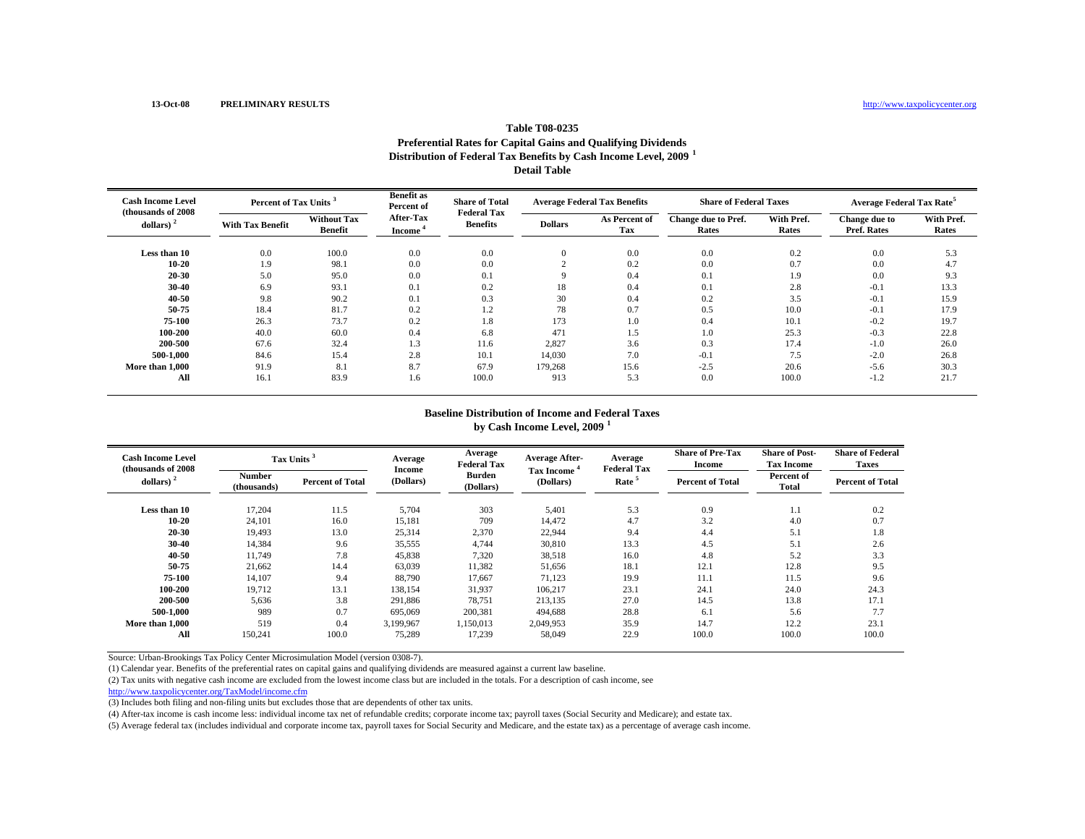### **Table T08-0235Preferential Rates for Capital Gains and Qualifying Dividends Distribution of Federal Tax Benefits by Cash Income Level, 2009 <sup>1</sup> Detail Table**

| <b>Cash Income Level</b><br>(thousands of 2008) | Percent of Tax Units <sup>3</sup> |                                      | <b>Benefit as</b><br><b>Share of Total</b><br>Percent of<br><b>Federal Tax</b> |                 |                | <b>Average Federal Tax Benefits</b> | <b>Share of Federal Taxes</b> |                     | Average Federal Tax Rate <sup>5</sup> |                     |
|-------------------------------------------------|-----------------------------------|--------------------------------------|--------------------------------------------------------------------------------|-----------------|----------------|-------------------------------------|-------------------------------|---------------------|---------------------------------------|---------------------|
| dollars) $2$                                    | <b>With Tax Benefit</b>           | <b>Without Tax</b><br><b>Benefit</b> | After-Tax<br><b>Income</b>                                                     | <b>Benefits</b> | <b>Dollars</b> | As Percent of<br>Tax                | Change due to Pref.<br>Rates  | With Pref.<br>Rates | Change due to<br>Pref. Rates          | With Pref.<br>Rates |
| Less than 10                                    | 0.0                               | 100.0                                | 0.0                                                                            | 0.0             | $\Omega$       | 0.0                                 | 0.0                           | 0.2                 | 0.0                                   | 5.3                 |
| 10-20                                           | 1.9                               | 98.1                                 | 0.0                                                                            | 0.0             |                | 0.2                                 | 0.0                           | 0.7                 | 0.0                                   | 4.7                 |
| 20-30                                           | 5.0                               | 95.0                                 | 0.0                                                                            | 0.1             |                | 0.4                                 | 0.1                           | 1.9                 | 0.0                                   | 9.3                 |
| 30-40                                           | 6.9                               | 93.1                                 | 0.1                                                                            | 0.2             | 18             | 0.4                                 | 0.1                           | 2.8                 | $-0.1$                                | 13.3                |
| 40-50                                           | 9.8                               | 90.2                                 | 0.1                                                                            | 0.3             | 30             | 0.4                                 | 0.2                           | 3.5                 | $-0.1$                                | 15.9                |
| 50 75                                           | 18.4                              | 81.7                                 | 0.2                                                                            | 1.2             | 78             | 0.7                                 | 0.5                           | 10.0                | $-0.1$                                | 17.9                |
| 75-100                                          | 26.3                              | 73.7                                 | 0.2                                                                            | 1.8             | 173            | 1.0                                 | 0.4                           | 10.1                | $-0.2$                                | 19.7                |
| 100-200                                         | 40.0                              | 60.0                                 | 0.4                                                                            | 6.8             | 471            | 1.5                                 | 1.0                           | 25.3                | $-0.3$                                | 22.8                |
| 200-500                                         | 67.6                              | 32.4                                 | 1.3                                                                            | 11.6            | 2,827          | 3.6                                 | 0.3                           | 17.4                | $-1.0$                                | 26.0                |
| 500-1.000                                       | 84.6                              | 15.4                                 | 2.8                                                                            | 10.1            | 14,030         | 7.0                                 | $-0.1$                        | 7.5                 | $-2.0$                                | 26.8                |
| More than 1,000                                 | 91.9                              | 8.1                                  | 8.7                                                                            | 67.9            | 179,268        | 15.6                                | $-2.5$                        | 20.6                | $-5.6$                                | 30.3                |
| All                                             | 16.1                              | 83.9                                 | 1.6                                                                            | 100.0           | 913            | 5.3                                 | 0.0                           | 100.0               | $-1.2$                                | 21.7                |

#### **Baseline Distribution of Income and Federal Taxes**

**by Cash Income Level, 2009 <sup>1</sup>**

| <b>Cash Income Level</b><br>(thousands of 2008) |                       | Tax Units <sup>3</sup>  | Average<br><b>Income</b> | Average<br><b>Federal Tax</b> | <b>Average After-</b><br>Tax Income <sup>*</sup> | Average<br><b>Federal Tax</b> | <b>Share of Pre-Tax</b><br><b>Income</b> | <b>Share of Post-</b><br><b>Tax Income</b> | <b>Share of Federal</b><br><b>Taxes</b> |
|-------------------------------------------------|-----------------------|-------------------------|--------------------------|-------------------------------|--------------------------------------------------|-------------------------------|------------------------------------------|--------------------------------------------|-----------------------------------------|
| dollars) $2$                                    | Number<br>(thousands) | <b>Percent of Total</b> | (Dollars)                | <b>Burden</b><br>(Dollars)    | (Dollars)                                        | Rate <sup>5</sup>             | <b>Percent of Total</b>                  | Percent of<br>Total                        | <b>Percent of Total</b>                 |
| Less than 10                                    | 17,204                | 11.5                    | 5,704                    | 303                           | 5,401                                            | 5.3                           | 0.9                                      | 1.1                                        | 0.2                                     |
| 10-20                                           | 24,101                | 16.0                    | 15,181                   | 709                           | 14,472                                           | 4.7                           | 3.2                                      | 4.0                                        | 0.7                                     |
| 20-30                                           | 19,493                | 13.0                    | 25,314                   | 2,370                         | 22,944                                           | 9.4                           | 4.4                                      | 5.1                                        | 1.8                                     |
| 30-40                                           | 14,384                | 9.6                     | 35,555                   | 4,744                         | 30,810                                           | 13.3                          | 4.5                                      | 5.1                                        | 2.6                                     |
| 40 50                                           | 11,749                | 7.8                     | 45,838                   | 7,320                         | 38,518                                           | 16.0                          | 4.8                                      | 5.2                                        | 3.3                                     |
| 50-75                                           | 21,662                | 14.4                    | 63,039                   | 11,382                        | 51,656                                           | 18.1                          | 12.1                                     | 12.8                                       | 9.5                                     |
| 75-100                                          | 14.107                | 9.4                     | 88,790                   | 17,667                        | 71,123                                           | 19.9                          | 11.1                                     | 11.5                                       | 9.6                                     |
| 100-200                                         | 19.712                | 13.1                    | 138,154                  | 31,937                        | 106,217                                          | 23.1                          | 24.1                                     | 24.0                                       | 24.3                                    |
| 200-500                                         | 5,636                 | 3.8                     | 291,886                  | 78,751                        | 213,135                                          | 27.0                          | 14.5                                     | 13.8                                       | 17.1                                    |
| 500-1,000                                       | 989                   | 0.7                     | 695,069                  | 200,381                       | 494,688                                          | 28.8                          | 6.1                                      | 5.6                                        | 7.7                                     |
| More than 1,000                                 | 519                   | 0.4                     | 3,199,967                | 1,150,013                     | 2,049,953                                        | 35.9                          | 14.7                                     | 12.2                                       | 23.1                                    |
| All                                             | 150,241               | 100.0                   | 75,289                   | 17,239                        | 58,049                                           | 22.9                          | 100.0                                    | 100.0                                      | 100.0                                   |

Source: Urban-Brookings Tax Policy Center Microsimulation Model (version 0308-7).

(1) Calendar year. Benefits of the preferential rates on capital gains and qualifying dividends are measured against a current law baseline.

(2) Tax units with negative cash income are excluded from the lowest income class but are included in the totals. For a description of cash income, see

http://www.taxpolicycenter.org/TaxModel/income.cfm

(3) Includes both filing and non-filing units but excludes those that are dependents of other tax units.

(4) After-tax income is cash income less: individual income tax net of refundable credits; corporate income tax; payroll taxes (Social Security and Medicare); and estate tax.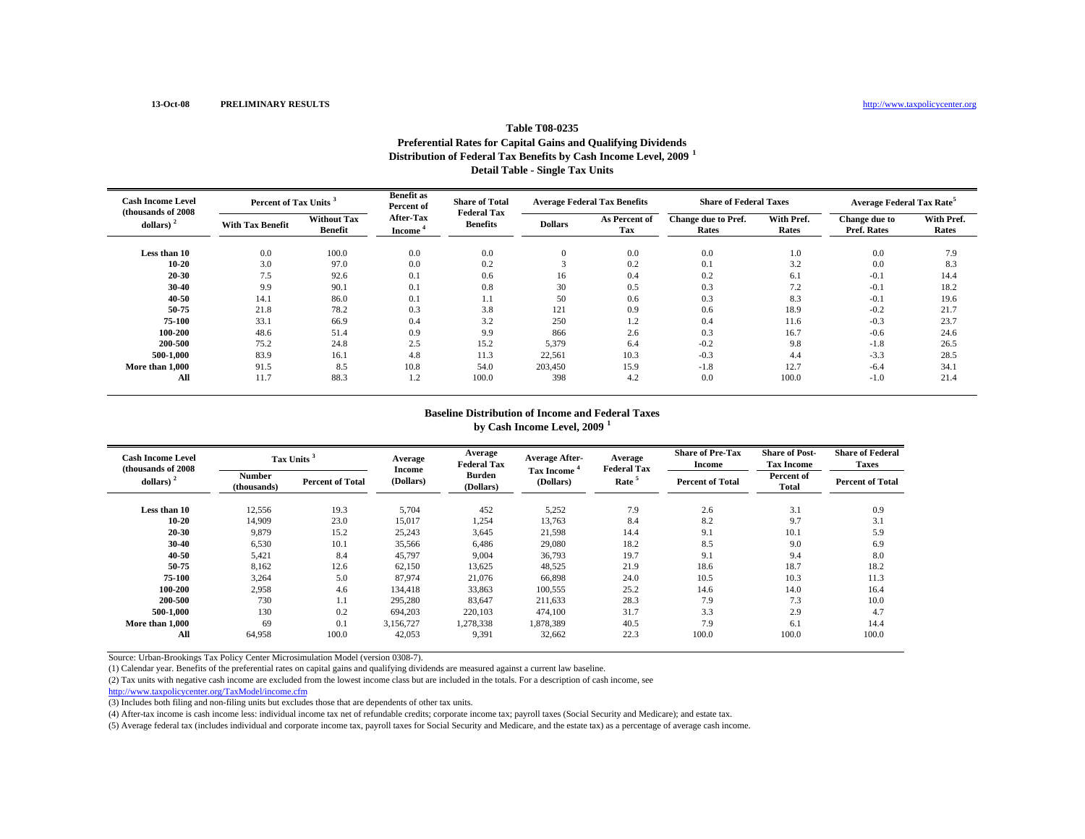### **Table T08-0235Preferential Rates for Capital Gains and Qualifying Dividends Distribution of Federal Tax Benefits by Cash Income Level, 2009 <sup>1</sup> Detail Table - Single Tax Units**

| <b>Cash Income Level</b><br>(thousands of 2008) |                         | Percent of Tax Units <sup>3</sup>    |                            | <b>Share of Total</b><br><b>Federal Tax</b> | <b>Average Federal Tax Benefits</b> |                      | <b>Share of Federal Taxes</b> |                     | Average Federal Tax Rate <sup>5</sup> |                     |
|-------------------------------------------------|-------------------------|--------------------------------------|----------------------------|---------------------------------------------|-------------------------------------|----------------------|-------------------------------|---------------------|---------------------------------------|---------------------|
| dollars) $2$                                    | <b>With Tax Benefit</b> | <b>Without Tax</b><br><b>Benefit</b> | After-Tax<br><b>Income</b> | <b>Benefits</b>                             | <b>Dollars</b>                      | As Percent of<br>Tax | Change due to Pref.<br>Rates  | With Pref.<br>Rates | Change due to<br>Pref. Rates          | With Pref.<br>Rates |
| Less than 10                                    | 0.0                     | 100.0                                | 0.0                        | 0.0                                         | $\Omega$                            | 0.0                  | 0.0                           | 1.0                 | 0.0                                   | 7.9                 |
| 10-20                                           | 3.0                     | 97.0                                 | 0.0                        | 0.2                                         |                                     | 0.2                  | 0.1                           | 3.2                 | 0.0                                   | 8.3                 |
| 20-30                                           | 7.5                     | 92.6                                 | 0.1                        | 0.6                                         | 16                                  | 0.4                  | 0.2                           | 6.1                 | $-0.1$                                | 14.4                |
| 30-40                                           | 9.9                     | 90.1                                 | 0.1                        | 0.8                                         | 30                                  | 0.5                  | 0.3                           | 7.2                 | $-0.1$                                | 18.2                |
| 40-50                                           | 14.1                    | 86.0                                 | 0.1                        | 1.1                                         | 50                                  | 0.6                  | 0.3                           | 8.3                 | $-0.1$                                | 19.6                |
| 50 75                                           | 21.8                    | 78.2                                 | 0.3                        | 3.8                                         | 121                                 | 0.9                  | 0.6                           | 18.9                | $-0.2$                                | 21.7                |
| 75-100                                          | 33.1                    | 66.9                                 | 0.4                        | 3.2                                         | 250                                 | 1.2                  | 0.4                           | 11.6                | $-0.3$                                | 23.7                |
| 100-200                                         | 48.6                    | 51.4                                 | 0.9                        | 9.9                                         | 866                                 | 2.6                  | 0.3                           | 16.7                | $-0.6$                                | 24.6                |
| 200-500                                         | 75.2                    | 24.8                                 | 2.5                        | 15.2                                        | 5,379                               | 6.4                  | $-0.2$                        | 9.8                 | $-1.8$                                | 26.5                |
| 500-1.000                                       | 83.9                    | 16.1                                 | 4.8                        | 11.3                                        | 22,561                              | 10.3                 | $-0.3$                        | 4.4                 | $-3.3$                                | 28.5                |
| More than 1,000                                 | 91.5                    | 8.5                                  | 10.8                       | 54.0                                        | 203.450                             | 15.9                 | $-1.8$                        | 12.7                | $-6.4$                                | 34.1                |
| All                                             | 11.7                    | 88.3                                 | 1.2                        | 100.0                                       | 398                                 | 4.2                  | 0.0                           | 100.0               | $-1.0$                                | 21.4                |

#### **Baseline Distribution of Income and Federal Taxes**

**by Cash Income Level, 2009 <sup>1</sup>**

| <b>Cash Income Level</b><br>(thousands of 2008) |                       | Tax Units <sup>3</sup>  | Average<br><b>Income</b> | Average<br><b>Federal Tax</b> | <b>Average After-</b><br>Tax Income <sup>*</sup> | Average<br><b>Federal Tax</b> | <b>Share of Pre-Tax</b><br><b>Income</b> | <b>Share of Post-</b><br><b>Tax Income</b> | <b>Share of Federal</b><br><b>Taxes</b> |
|-------------------------------------------------|-----------------------|-------------------------|--------------------------|-------------------------------|--------------------------------------------------|-------------------------------|------------------------------------------|--------------------------------------------|-----------------------------------------|
| dollars) $2$                                    | Number<br>(thousands) | <b>Percent of Total</b> | (Dollars)                | <b>Burden</b><br>(Dollars)    | (Dollars)                                        | Rate <sup>5</sup>             | <b>Percent of Total</b>                  | Percent of<br>Total                        | <b>Percent of Total</b>                 |
| Less than 10                                    | 12,556                | 19.3                    | 5,704                    | 452                           | 5,252                                            | 7.9                           | 2.6                                      | 3.1                                        | 0.9                                     |
| 10-20                                           | 14,909                | 23.0                    | 15,017                   | 1,254                         | 13,763                                           | 8.4                           | 8.2                                      | 9.7                                        | 3.1                                     |
| 20-30                                           | 9,879                 | 15.2                    | 25,243                   | 3,645                         | 21,598                                           | 14.4                          | 9.1                                      | 10.1                                       | 5.9                                     |
| 30-40                                           | 6,530                 | 10.1                    | 35,566                   | 6,486                         | 29,080                                           | 18.2                          | 8.5                                      | 9.0                                        | 6.9                                     |
| 40 50                                           | 5,421                 | 8.4                     | 45,797                   | 9,004                         | 36,793                                           | 19.7                          | 9.1                                      | 9.4                                        | 8.0                                     |
| 50-75                                           | 8,162                 | 12.6                    | 62,150                   | 13,625                        | 48,525                                           | 21.9                          | 18.6                                     | 18.7                                       | 18.2                                    |
| 75-100                                          | 3,264                 | 5.0                     | 87.974                   | 21,076                        | 66,898                                           | 24.0                          | 10.5                                     | 10.3                                       | 11.3                                    |
| 100-200                                         | 2,958                 | 4.6                     | 134.418                  | 33,863                        | 100,555                                          | 25.2                          | 14.6                                     | 14.0                                       | 16.4                                    |
| 200-500                                         | 730                   | 1.1                     | 295,280                  | 83,647                        | 211,633                                          | 28.3                          | 7.9                                      | 7.3                                        | 10.0                                    |
| 500-1,000                                       | 130                   | 0.2                     | 694,203                  | 220,103                       | 474,100                                          | 31.7                          | 3.3                                      | 2.9                                        | 4.7                                     |
| More than 1.000                                 | 69                    | 0.1                     | 3,156,727                | 1,278,338                     | 1,878,389                                        | 40.5                          | 7.9                                      | 6.1                                        | 14.4                                    |
| All                                             | 64,958                | 100.0                   | 42,053                   | 9,391                         | 32,662                                           | 22.3                          | 100.0                                    | 100.0                                      | 100.0                                   |

Source: Urban-Brookings Tax Policy Center Microsimulation Model (version 0308-7).

(1) Calendar year. Benefits of the preferential rates on capital gains and qualifying dividends are measured against a current law baseline.

(2) Tax units with negative cash income are excluded from the lowest income class but are included in the totals. For a description of cash income, see

http://www.taxpolicycenter.org/TaxModel/income.cfm

(3) Includes both filing and non-filing units but excludes those that are dependents of other tax units.

(4) After-tax income is cash income less: individual income tax net of refundable credits; corporate income tax; payroll taxes (Social Security and Medicare); and estate tax.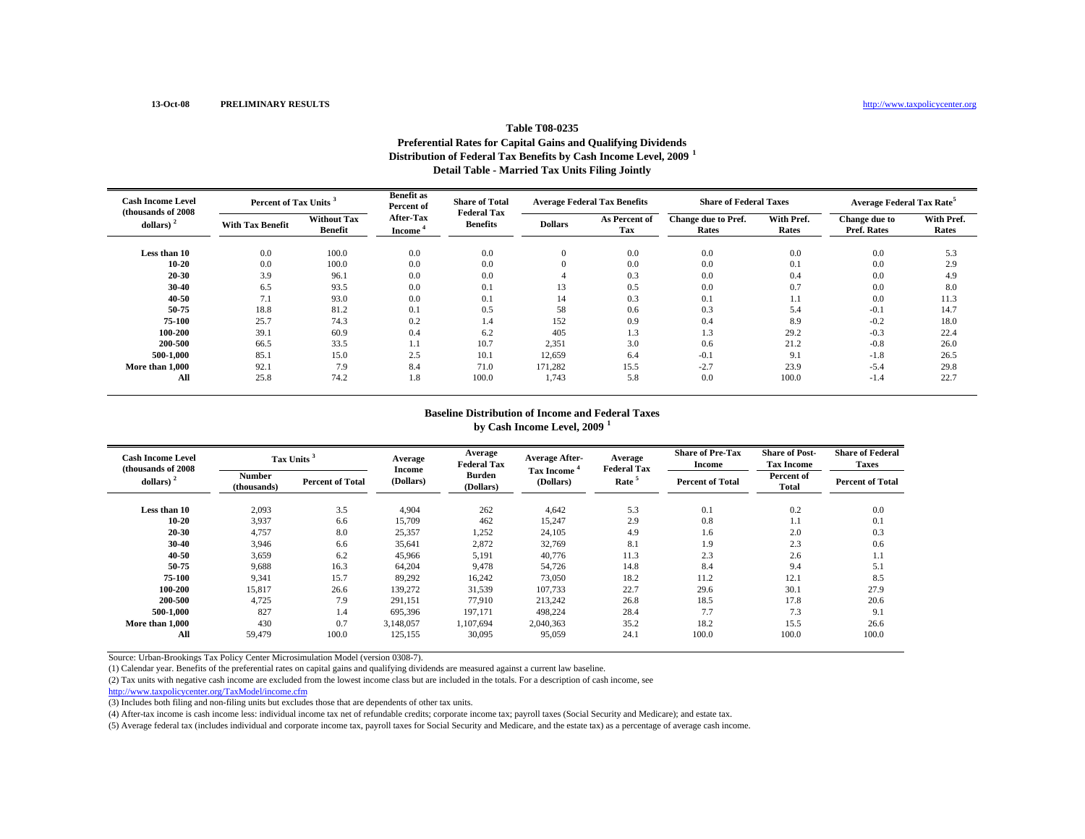### **Table T08-0235Preferential Rates for Capital Gains and Qualifying Dividends Distribution of Federal Tax Benefits by Cash Income Level, 2009 <sup>1</sup> Detail Table - Married Tax Units Filing Jointly**

| <b>Cash Income Level</b><br>(thousands of 2008) | Percent of Tax Units <sup>3</sup> |                                      | <b>Benefit as</b><br>Percent of  | <b>Share of Total</b><br><b>Federal Tax</b> | <b>Average Federal Tax Benefits</b> |                      | <b>Share of Federal Taxes</b> |                     | <b>Average Federal Tax Rate<sup>5</sup></b> |                     |
|-------------------------------------------------|-----------------------------------|--------------------------------------|----------------------------------|---------------------------------------------|-------------------------------------|----------------------|-------------------------------|---------------------|---------------------------------------------|---------------------|
| dollars) $2$                                    | <b>With Tax Benefit</b>           | <b>Without Tax</b><br><b>Benefit</b> | After-Tax<br>Income <sup>'</sup> | <b>Benefits</b>                             | <b>Dollars</b>                      | As Percent of<br>Tax | Change due to Pref.<br>Rates  | With Pref.<br>Rates | Change due to<br>Pref. Rates                | With Pref.<br>Rates |
| Less than 10                                    | 0.0                               | 100.0                                | 0.0                              | 0.0                                         | $\mathbf{0}$                        | 0.0                  | 0.0                           | 0.0                 | 0.0                                         | 5.3                 |
| 10-20                                           | 0.0                               | 100.0                                | 0.0                              | 0.0                                         | $\Omega$                            | 0.0                  | 0.0                           | 0.1                 | 0.0                                         | 2.9                 |
| 20 30                                           | 3.9                               | 96.1                                 | 0.0                              | 0.0                                         |                                     | 0.3                  | 0.0                           | 0.4                 | 0.0                                         | 4.9                 |
| 30-40                                           | 6.5                               | 93.5                                 | 0.0                              | 0.1                                         |                                     | 0.5                  | 0.0                           | 0.7                 | 0.0                                         | 8.0                 |
| 40 50                                           | $\overline{ }$<br>1.1             | 93.0                                 | 0.0                              | 0.1                                         | 14                                  | 0.3                  | 0.1                           | 1.1                 | 0.0                                         | 11.3                |
| 50 75                                           | 18.8                              | 81.2                                 | 0.1                              | 0.5                                         | 58                                  | 0.6                  | 0.3                           | 5.4                 | $-0.1$                                      | 14.7                |
| 75-100                                          | 25.7                              | 74.3                                 | 0.2                              | 1.4                                         | 152                                 | 0.9                  | 0.4                           | 8.9                 | $-0.2$                                      | 18.0                |
| 100-200                                         | 39.1                              | 60.9                                 | 0.4                              | 6.2                                         | 405                                 | 1.3                  | 1.3                           | 29.2                | $-0.3$                                      | 22.4                |
| 200-500                                         | 66.5                              | 33.5                                 | 1.1                              | 10.7                                        | 2,351                               | 3.0                  | 0.6                           | 21.2                | $-0.8$                                      | 26.0                |
| 500-1.000                                       | 85.1                              | 15.0                                 | 2.5                              | 10.1                                        | 12,659                              | 6.4                  | $-0.1$                        | 9.1                 | $-1.8$                                      | 26.5                |
| More than 1,000                                 | 92.1                              | 7.9                                  | 8.4                              | 71.0                                        | 171,282                             | 15.5                 | $-2.7$                        | 23.9                | $-5.4$                                      | 29.8                |
| All                                             | 25.8                              | 74.2                                 | 1.8                              | 100.0                                       | 1,743                               | 5.8                  | 0.0                           | 100.0               | $-1.4$                                      | 22.7                |

#### **Baseline Distribution of Income and Federal Taxes**

**by Cash Income Level, 2009 <sup>1</sup>**

| <b>Cash Income Level</b><br>(thousands of 2008) |                              | Tax Units <sup>3</sup>  | Average<br><b>Income</b> | Average<br><b>Federal Tax</b> | <b>Average After-</b><br><b>Tax Income</b> | Average<br><b>Federal Tax</b> | <b>Share of Pre-Tax</b><br><b>Income</b> | <b>Share of Post-</b><br><b>Tax Income</b> | <b>Share of Federal</b><br><b>Taxes</b> |
|-------------------------------------------------|------------------------------|-------------------------|--------------------------|-------------------------------|--------------------------------------------|-------------------------------|------------------------------------------|--------------------------------------------|-----------------------------------------|
| dollars) $2$                                    | <b>Number</b><br>(thousands) | <b>Percent of Total</b> | (Dollars)                | <b>Burden</b><br>(Dollars)    | (Dollars)                                  | Rate <sup>5</sup>             | <b>Percent of Total</b>                  | Percent of<br>Total                        | <b>Percent of Total</b>                 |
| Less than 10                                    | 2,093                        | 3.5                     | 4,904                    | 262                           | 4,642                                      | 5.3                           | 0.1                                      | 0.2                                        | 0.0                                     |
| 10-20                                           | 3,937                        | 6.6                     | 15,709                   | 462                           | 15,247                                     | 2.9                           | 0.8                                      | 1.1                                        | 0.1                                     |
| 20-30                                           | 4,757                        | 8.0                     | 25,357                   | 1,252                         | 24,105                                     | 4.9                           | 1.6                                      | 2.0                                        | 0.3                                     |
| 30-40                                           | 3,946                        | 6.6                     | 35,641                   | 2,872                         | 32,769                                     | 8.1                           | 1.9                                      | 2.3                                        | 0.6                                     |
| 40 50                                           | 3,659                        | 6.2                     | 45,966                   | 5,191                         | 40,776                                     | 11.3                          | 2.3                                      | 2.6                                        | 1.1                                     |
| 50-75                                           | 9,688                        | 16.3                    | 64,204                   | 9,478                         | 54,726                                     | 14.8                          | 8.4                                      | 9.4                                        | 5.1                                     |
| 75-100                                          | 9,341                        | 15.7                    | 89,292                   | 16,242                        | 73,050                                     | 18.2                          | 11.2                                     | 12.1                                       | 8.5                                     |
| 100-200                                         | 15,817                       | 26.6                    | 139,272                  | 31,539                        | 107,733                                    | 22.7                          | 29.6                                     | 30.1                                       | 27.9                                    |
| 200-500                                         | 4,725                        | 7.9                     | 291,151                  | 77,910                        | 213,242                                    | 26.8                          | 18.5                                     | 17.8                                       | 20.6                                    |
| 500-1,000                                       | 827                          | 1.4                     | 695,396                  | 197,171                       | 498,224                                    | 28.4                          | 7.7                                      | 7.3                                        | 9.1                                     |
| More than 1,000                                 | 430                          | 0.7                     | 3,148,057                | 1,107,694                     | 2,040,363                                  | 35.2                          | 18.2                                     | 15.5                                       | 26.6                                    |
| All                                             | 59,479                       | 100.0                   | 125,155                  | 30,095                        | 95,059                                     | 24.1                          | 100.0                                    | 100.0                                      | 100.0                                   |

Source: Urban-Brookings Tax Policy Center Microsimulation Model (version 0308-7).

(1) Calendar year. Benefits of the preferential rates on capital gains and qualifying dividends are measured against a current law baseline.

(2) Tax units with negative cash income are excluded from the lowest income class but are included in the totals. For a description of cash income, see

http://www.taxpolicycenter.org/TaxModel/income.cfm

(3) Includes both filing and non-filing units but excludes those that are dependents of other tax units.

(4) After-tax income is cash income less: individual income tax net of refundable credits; corporate income tax; payroll taxes (Social Security and Medicare); and estate tax.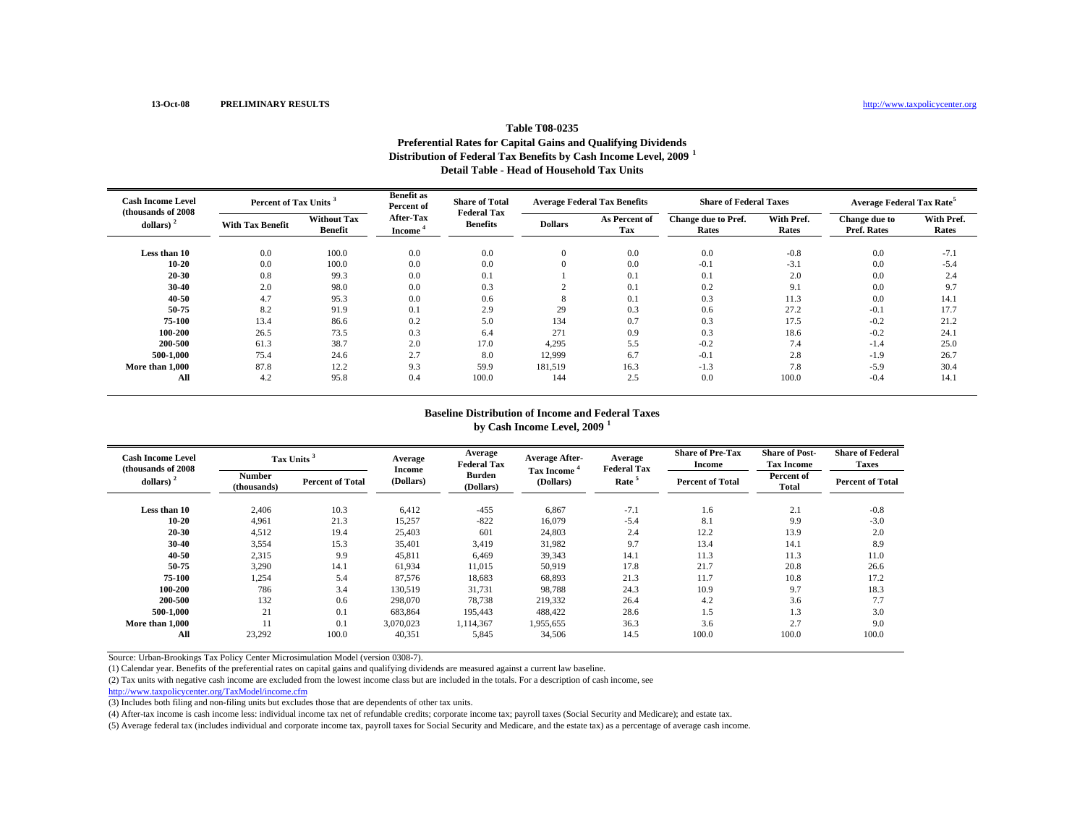### **Table T08-0235Preferential Rates for Capital Gains and Qualifying Dividends Distribution of Federal Tax Benefits by Cash Income Level, 2009 <sup>1</sup> Detail Table - Head of Household Tax Units**

| <b>Cash Income Level</b><br>(thousands of 2008) |                         | Percent of Tax Units <sup>3</sup>    |                            | <b>Share of Total</b> | <b>Average Federal Tax Benefits</b><br><b>Federal Tax</b> |                      | <b>Share of Federal Taxes</b> |                     | <b>Average Federal Tax Rate<sup>5</sup></b> |                     |
|-------------------------------------------------|-------------------------|--------------------------------------|----------------------------|-----------------------|-----------------------------------------------------------|----------------------|-------------------------------|---------------------|---------------------------------------------|---------------------|
| dollars) $2$                                    | <b>With Tax Benefit</b> | <b>Without Tax</b><br><b>Benefit</b> | After-Tax<br><b>Income</b> | <b>Benefits</b>       | <b>Dollars</b>                                            | As Percent of<br>Tax | Change due to Pref.<br>Rates  | With Pref.<br>Rates | Change due to<br>Pref. Rates                | With Pref.<br>Rates |
| Less than 10                                    | 0.0                     | 100.0                                | 0.0                        | 0.0                   | $\mathbf{0}$                                              | 0.0                  | 0.0                           | $-0.8$              | 0.0                                         | $-7.1$              |
| 10-20                                           | 0.0                     | 100.0                                | 0.0                        | 0.0                   | $\Omega$                                                  | 0.0                  | $-0.1$                        | $-3.1$              | 0.0                                         | $-5.4$              |
| 20 30                                           | 0.8                     | 99.3                                 | 0.0                        | 0.1                   |                                                           | 0.1                  | 0.1                           | 2.0                 | 0.0                                         | 2.4                 |
| 30-40                                           | 2.0                     | 98.0                                 | 0.0                        | 0.3                   |                                                           | 0.1                  | 0.2                           | 9.1                 | 0.0                                         | 9.7                 |
| 40 50                                           | 4.7                     | 95.3                                 | 0.0                        | 0.6                   |                                                           | 0.1                  | 0.3                           | 11.3                | 0.0                                         | 14.1                |
| 50 75                                           | 8.2                     | 91.9                                 | 0.1                        | 2.9                   | 29                                                        | 0.3                  | 0.6                           | 27.2                | $-0.1$                                      | 17.7                |
| 75-100                                          | 13.4                    | 86.6                                 | 0.2                        | 5.0                   | 134                                                       | 0.7                  | 0.3                           | 17.5                | $-0.2$                                      | 21.2                |
| 100-200                                         | 26.5                    | 73.5                                 | 0.3                        | 6.4                   | 271                                                       | 0.9                  | 0.3                           | 18.6                | $-0.2$                                      | 24.1                |
| 200-500                                         | 61.3                    | 38.7                                 | 2.0                        | 17.0                  | 4,295                                                     | 5.5                  | $-0.2$                        | 7.4                 | $-1.4$                                      | 25.0                |
| 500-1.000                                       | 75.4                    | 24.6                                 | 2.7                        | 8.0                   | 12,999                                                    | 6.7                  | $-0.1$                        | 2.8                 | $-1.9$                                      | 26.7                |
| More than 1,000                                 | 87.8                    | 12.2                                 | 9.3                        | 59.9                  | 181,519                                                   | 16.3                 | $-1.3$                        | 7.8                 | $-5.9$                                      | 30.4                |
| All                                             | 4.2                     | 95.8                                 | 0.4                        | 100.0                 | 144                                                       | 2.5                  | 0.0                           | 100.0               | $-0.4$                                      | 14.1                |

#### **Baseline Distribution of Income and Federal Taxes**

**by Cash Income Level, 2009 <sup>1</sup>**

| <b>Cash Income Level</b><br>(thousands of 2008) |                       | Tax Units <sup>3</sup>  | Average<br>Income | Average<br><b>Federal Tax</b> | <b>Average After-</b><br>Tax Income <sup>*</sup> | Average<br><b>Federal Tax</b> | <b>Share of Pre-Tax</b><br><b>Income</b> | <b>Share of Post-</b><br><b>Tax Income</b> | <b>Share of Federal</b><br><b>Taxes</b> |
|-------------------------------------------------|-----------------------|-------------------------|-------------------|-------------------------------|--------------------------------------------------|-------------------------------|------------------------------------------|--------------------------------------------|-----------------------------------------|
| dollars) $2$                                    | Number<br>(thousands) | <b>Percent of Total</b> | (Dollars)         | <b>Burden</b><br>(Dollars)    | (Dollars)                                        | Rate <sup>5</sup>             | <b>Percent of Total</b>                  | Percent of<br><b>Total</b>                 | <b>Percent of Total</b>                 |
| Less than 10                                    | 2,406                 | 10.3                    | 6,412             | $-455$                        | 6,867                                            | $-7.1$                        | 1.6                                      | 2.1                                        | $-0.8$                                  |
| 10-20                                           | 4,961                 | 21.3                    | 15,257            | $-822$                        | 16,079                                           | $-5.4$                        | 8.1                                      | 9.9                                        | $-3.0$                                  |
| 20-30                                           | 4,512                 | 19.4                    | 25,403            | 601                           | 24,803                                           | 2.4                           | 12.2                                     | 13.9                                       | 2.0                                     |
| 30-40                                           | 3,554                 | 15.3                    | 35,401            | 3,419                         | 31,982                                           | 9.7                           | 13.4                                     | 14.1                                       | 8.9                                     |
| 40 50                                           | 2,315                 | 9.9                     | 45,811            | 6,469                         | 39,343                                           | 14.1                          | 11.3                                     | 11.3                                       | 11.0                                    |
| 50-75                                           | 3,290                 | 14.1                    | 61.934            | 11,015                        | 50.919                                           | 17.8                          | 21.7                                     | 20.8                                       | 26.6                                    |
| 75-100                                          | 1,254                 | 5.4                     | 87,576            | 18,683                        | 68,893                                           | 21.3                          | 11.7                                     | 10.8                                       | 17.2                                    |
| 100-200                                         | 786                   | 3.4                     | 130.519           | 31,731                        | 98,788                                           | 24.3                          | 10.9                                     | 9.7                                        | 18.3                                    |
| 200-500                                         | 132                   | 0.6                     | 298,070           | 78,738                        | 219,332                                          | 26.4                          | 4.2                                      | 3.6                                        | 7.7                                     |
| 500-1.000                                       | 21                    | 0.1                     | 683.864           | 195,443                       | 488,422                                          | 28.6                          | 1.5                                      | 1.3                                        | 3.0                                     |
| More than 1,000                                 |                       | 0.1                     | 3,070,023         | 1,114,367                     | 1,955,655                                        | 36.3                          | 3.6                                      | 2.7                                        | 9.0                                     |
| All                                             | 23,292                | 100.0                   | 40,351            | 5,845                         | 34,506                                           | 14.5                          | 100.0                                    | 100.0                                      | 100.0                                   |

Source: Urban-Brookings Tax Policy Center Microsimulation Model (version 0308-7).

(1) Calendar year. Benefits of the preferential rates on capital gains and qualifying dividends are measured against a current law baseline.

(2) Tax units with negative cash income are excluded from the lowest income class but are included in the totals. For a description of cash income, see

http://www.taxpolicycenter.org/TaxModel/income.cfm

(3) Includes both filing and non-filing units but excludes those that are dependents of other tax units.

(4) After-tax income is cash income less: individual income tax net of refundable credits; corporate income tax; payroll taxes (Social Security and Medicare); and estate tax.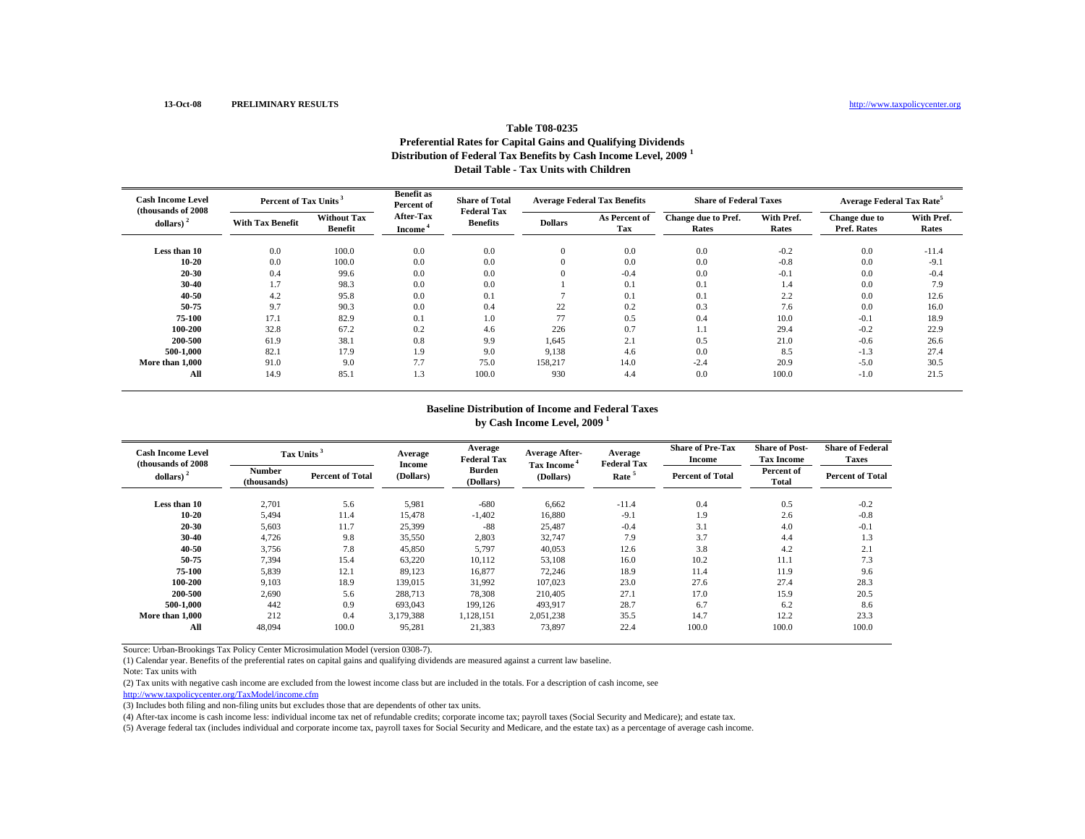### **Table T08-0235Preferential Rates for Capital Gains and Qualifying Dividends Distribution of Federal Tax Benefits by Cash Income Level, 2009 <sup>1</sup> Detail Table - Tax Units with Children**

| <b>Cash Income Level</b><br>(thousands of 2008) |                         | Percent of Tax Units <sup>3</sup>    |                                         | <b>Share of Total</b><br><b>Federal Tax</b> | <b>Average Federal Tax Benefits</b> |                      | <b>Share of Federal Taxes</b> |                     | <b>Average Federal Tax Rate<sup>5</sup></b> |                     |
|-------------------------------------------------|-------------------------|--------------------------------------|-----------------------------------------|---------------------------------------------|-------------------------------------|----------------------|-------------------------------|---------------------|---------------------------------------------|---------------------|
| dollars)                                        | <b>With Tax Benefit</b> | <b>Without Tax</b><br><b>Benefit</b> | <b>After-Tax</b><br>Income <sup>*</sup> | <b>Benefits</b>                             | <b>Dollars</b>                      | As Percent of<br>Tax | Change due to Pref.<br>Rates  | With Pref.<br>Rates | Change due to<br>Pref. Rates                | With Pref.<br>Rates |
| Less than 10                                    | 0.0                     | 100.0                                | 0.0                                     | 0.0                                         | $\Omega$                            | 0.0                  | 0.0                           | $-0.2$              | 0.0                                         | $-11.4$             |
| $10 - 20$                                       | 0.0                     | 100.0                                | 0.0                                     | 0.0                                         |                                     | 0.0                  | 0.0                           | $-0.8$              | 0.0                                         | $-9.1$              |
| 20-30                                           | 0.4                     | 99.6                                 | 0.0                                     | 0.0                                         |                                     | $-0.4$               | 0.0                           | $-0.1$              | 0.0                                         | $-0.4$              |
| 30-40                                           | 1.7                     | 98.3                                 | 0.0                                     | 0.0                                         |                                     | 0.1                  | 0.1                           | 1.4                 | 0.0                                         | 7.9                 |
| 40-50                                           | 4.2                     | 95.8                                 | 0.0                                     | 0.1                                         |                                     | 0.1                  | 0.1                           | 2.2                 | 0.0                                         | 12.6                |
| 50-75                                           | 9.7                     | 90.3                                 | 0.0                                     | 0.4                                         | 22                                  | 0.2                  | 0.3                           | 7.6                 | 0.0                                         | 16.0                |
| 75-100                                          | 17.1                    | 82.9                                 | 0.1                                     | 1.0                                         | 77                                  | 0.5                  | 0.4                           | 10.0                | $-0.1$                                      | 18.9                |
| 100-200                                         | 32.8                    | 67.2                                 | 0.2                                     | 4.6                                         | 226                                 | 0.7                  | 1.1                           | 29.4                | $-0.2$                                      | 22.9                |
| 200-500                                         | 61.9                    | 38.1                                 | 0.8                                     | 9.9                                         | 1,645                               | 2.1                  | 0.5                           | 21.0                | $-0.6$                                      | 26.6                |
| 500-1.000                                       | 82.1                    | 17.9                                 | 1.9                                     | 9.0                                         | 9,138                               | 4.6                  | 0.0                           | 8.5                 | $-1.3$                                      | 27.4                |
| More than 1,000                                 | 91.0                    | 9.0                                  | 7.7                                     | 75.0                                        | 158,217                             | 14.0                 | $-2.4$                        | 20.9                | $-5.0$                                      | 30.5                |
| All                                             | 14.9                    | 85.1                                 | 1.3                                     | 100.0                                       | 930                                 | 4.4                  | 0.0                           | 100.0               | $-1.0$                                      | 21.5                |

#### **Baseline Distribution of Income and Federal Taxes by Cash Income Level, 2009 <sup>1</sup>**

| <b>Cash Income Level</b><br>(thousands of 2008) |                              | Tax Units               | Average<br>Income | Average<br><b>Federal Tax</b> | <b>Average After-</b><br>Tax Income <sup>4</sup> | Average<br><b>Federal Tax</b> | <b>Share of Pre-Tax</b><br>Income | <b>Share of Post-</b><br><b>Tax Income</b> | <b>Share of Federal</b><br><b>Taxes</b> |
|-------------------------------------------------|------------------------------|-------------------------|-------------------|-------------------------------|--------------------------------------------------|-------------------------------|-----------------------------------|--------------------------------------------|-----------------------------------------|
| dollars) $2$                                    | <b>Number</b><br>(thousands) | <b>Percent of Total</b> | (Dollars)         | <b>Burden</b><br>(Dollars)    | (Dollars)                                        | Rate <sup>5</sup>             | <b>Percent of Total</b>           | Percent of<br>Total                        | <b>Percent of Total</b>                 |
| Less than 10                                    | 2,701                        | 5.6                     | 5,981             | $-680$                        | 6,662                                            | $-11.4$                       | 0.4                               | 0.5                                        | $-0.2$                                  |
| 10-20                                           | 5,494                        | 11.4                    | 15,478            | $-1,402$                      | 16,880                                           | $-9.1$                        | 1.9                               | 2.6                                        | $-0.8$                                  |
| 20-30                                           | 5,603                        | 11.7                    | 25,399            | $-88$                         | 25,487                                           | $-0.4$                        | 3.1                               | 4.0                                        | $-0.1$                                  |
| 30-40                                           | 4,726                        | 9.8                     | 35,550            | 2,803                         | 32,747                                           | 7.9                           | 3.7                               | 4.4                                        | 1.3                                     |
| 40-50                                           | 3,756                        | 7.8                     | 45,850            | 5,797                         | 40,053                                           | 12.6                          | 3.8                               | 4.2                                        | 2.1                                     |
| 50-75                                           | 7,394                        | 15.4                    | 63,220            | 10,112                        | 53,108                                           | 16.0                          | 10.2                              | 11.1                                       | 7.3                                     |
| 75-100                                          | 5,839                        | 12.1                    | 89,123            | 16,877                        | 72,246                                           | 18.9                          | 11.4                              | 11.9                                       | 9.6                                     |
| 100-200                                         | 9,103                        | 18.9                    | 139,015           | 31,992                        | 107.023                                          | 23.0                          | 27.6                              | 27.4                                       | 28.3                                    |
| 200-500                                         | 2,690                        | 5.6                     | 288,713           | 78,308                        | 210,405                                          | 27.1                          | 17.0                              | 15.9                                       | 20.5                                    |
| 500-1,000                                       | 442                          | 0.9                     | 693,043           | 199,126                       | 493,917                                          | 28.7                          | 6.7                               | 6.2                                        | 8.6                                     |
| More than 1.000                                 | 212                          | 0.4                     | 3,179,388         | 1,128,151                     | 2,051,238                                        | 35.5                          | 14.7                              | 12.2                                       | 23.3                                    |
| All                                             | 48.094                       | 100.0                   | 95,281            | 21,383                        | 73,897                                           | 22.4                          | 100.0                             | 100.0                                      | 100.0                                   |

Source: Urban-Brookings Tax Policy Center Microsimulation Model (version 0308-7).

(1) Calendar year. Benefits of the preferential rates on capital gains and qualifying dividends are measured against a current law baseline.

(2) Tax units with negative cash income are excluded from the lowest income class but are included in the totals. For a description of cash income, see

```
http://www.taxpolicycenter.org/TaxModel/income.cfm
```
(3) Includes both filing and non-filing units but excludes those that are dependents of other tax units.

(4) After-tax income is cash income less: individual income tax net of refundable credits; corporate income tax; payroll taxes (Social Security and Medicare); and estate tax.

Note: Tax units with